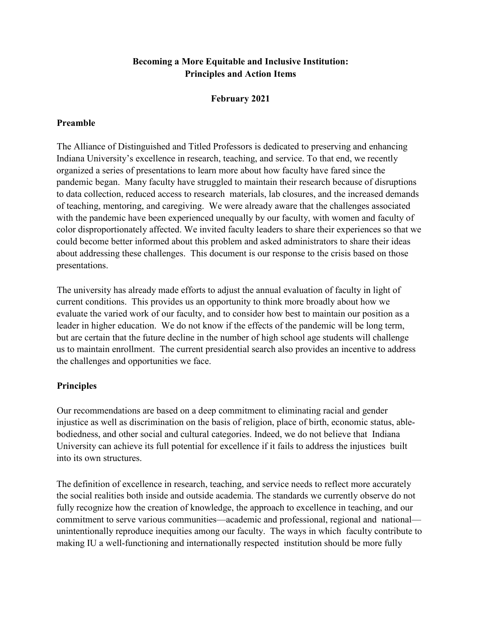## **Becoming a More Equitable and Inclusive Institution: Principles and Action Items**

# **February 2021**

### **Preamble**

The Alliance of Distinguished and Titled Professors is dedicated to preserving and enhancing Indiana University's excellence in research, teaching, and service. To that end, we recently organized a series of presentations to learn more about how faculty have fared since the pandemic began. Many faculty have struggled to maintain their research because of disruptions to data collection, reduced access to research materials, lab closures, and the increased demands of teaching, mentoring, and caregiving. We were already aware that the challenges associated with the pandemic have been experienced unequally by our faculty, with women and faculty of color disproportionately affected. We invited faculty leaders to share their experiences so that we could become better informed about this problem and asked administrators to share their ideas about addressing these challenges. This document is our response to the crisis based on those presentations.

The university has already made efforts to adjust the annual evaluation of faculty in light of current conditions. This provides us an opportunity to think more broadly about how we evaluate the varied work of our faculty, and to consider how best to maintain our position as a leader in higher education. We do not know if the effects of the pandemic will be long term, but are certain that the future decline in the number of high school age students will challenge us to maintain enrollment. The current presidential search also provides an incentive to address the challenges and opportunities we face.

### **Principles**

Our recommendations are based on a deep commitment to eliminating racial and gender injustice as well as discrimination on the basis of religion, place of birth, economic status, ablebodiedness, and other social and cultural categories. Indeed, we do not believe that Indiana University can achieve its full potential for excellence if it fails to address the injustices built into its own structures.

The definition of excellence in research, teaching, and service needs to reflect more accurately the social realities both inside and outside academia. The standards we currently observe do not fully recognize how the creation of knowledge, the approach to excellence in teaching, and our commitment to serve various communities—academic and professional, regional and national unintentionally reproduce inequities among our faculty. The ways in which faculty contribute to making IU a well-functioning and internationally respected institution should be more fully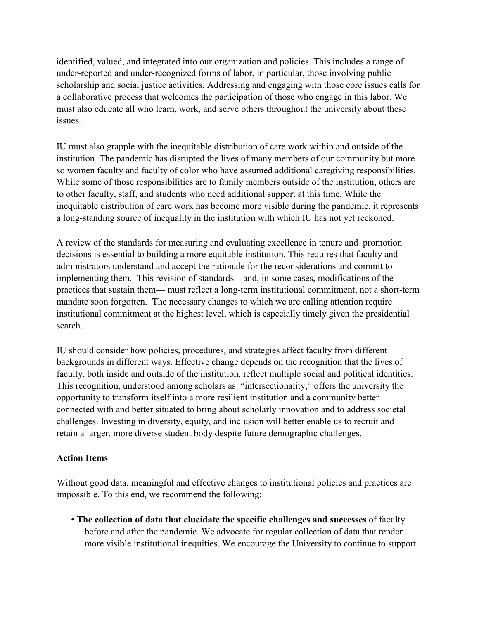identified, valued, and integrated into our organization and policies. This includes a range of under-reported and under-recognized forms of labor, in particular, those involving public scholarship and social justice activities. Addressing and engaging with those core issues calls for a collaborative process that welcomes the participation of those who engage in this labor. We must also educate all who learn, work, and serve others throughout the university about these issues.

IU must also grapple with the inequitable distribution of care work within and outside of the institution. The pandemic has disrupted the lives of many members of our community but more so women faculty and faculty of color who have assumed additional caregiving responsibilities. While some of those responsibilities are to family members outside of the institution, others are to other faculty, staff, and students who need additional support at this time. While the inequitable distribution of care work has become more visible during the pandemic, it represents a long-standing source of inequality in the institution with which IU has not yet reckoned.

A review of the standards for measuring and evaluating excellence in tenure and promotion decisions is essential to building a more equitable institution. This requires that faculty and administrators understand and accept the rationale for the reconsiderations and commit to implementing them. This revision of standards—and, in some cases, modifications of the practices that sustain them— must reflect a long-term institutional commitment, not a short-term mandate soon forgotten. The necessary changes to which we are calling attention require institutional commitment at the highest level, which is especially timely given the presidential search.

IU should consider how policies, procedures, and strategies affect faculty from different backgrounds in different ways. Effective change depends on the recognition that the lives of faculty, both inside and outside of the institution, reflect multiple social and political identities. This recognition, understood among scholars as "intersectionality," offers the university the opportunity to transform itself into a more resilient institution and a community better connected with and better situated to bring about scholarly innovation and to address societal challenges. Investing in diversity, equity, and inclusion will better enable us to recruit and retain a larger, more diverse student body despite future demographic challenges.

### **Action Items**

Without good data, meaningful and effective changes to institutional policies and practices are impossible. To this end, we recommend the following:

• **The collection of data that elucidate the specific challenges and successes** of faculty before and after the pandemic. We advocate for regular collection of data that render more visible institutional inequities. We encourage the University to continue to support